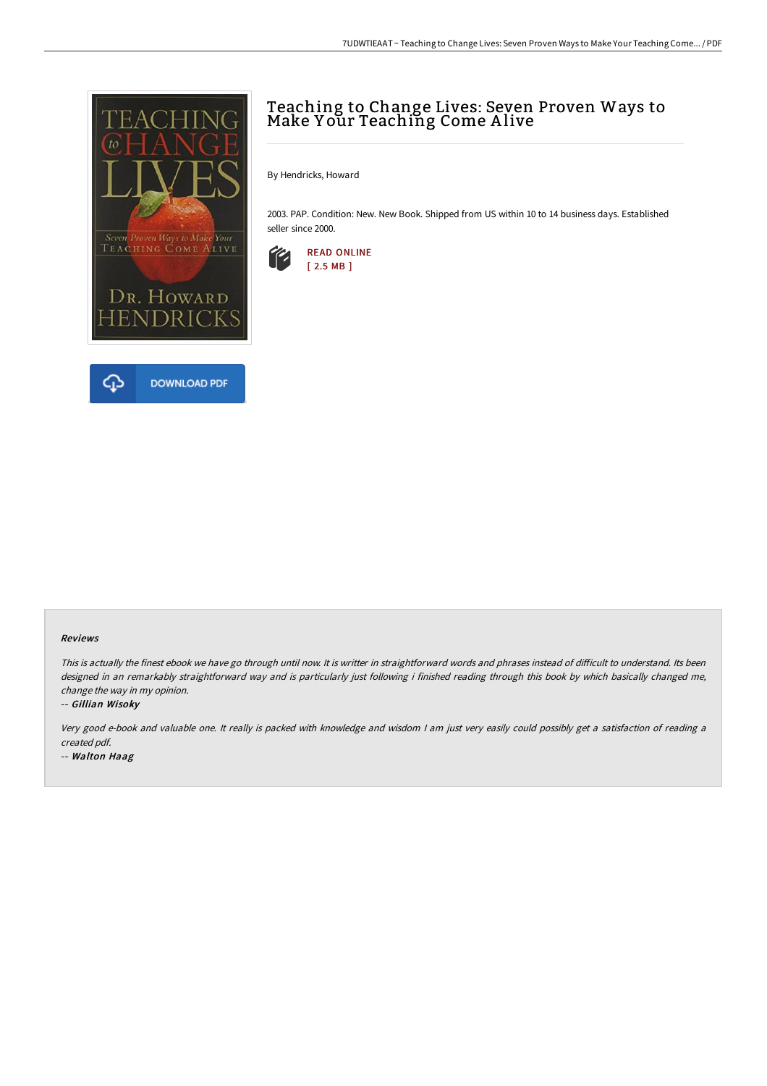

# Teaching to Change Lives: Seven Proven Ways to Make Y our Teaching Come A live

By Hendricks, Howard

2003. PAP. Condition: New. New Book. Shipped from US within 10 to 14 business days. Established seller since 2000.



#### Reviews

This is actually the finest ebook we have go through until now. It is writter in straightforward words and phrases instead of difficult to understand. Its been designed in an remarkably straightforward way and is particularly just following i finished reading through this book by which basically changed me, change the way in my opinion.

#### -- Gillian Wisoky

Very good e-book and valuable one. It really is packed with knowledge and wisdom <sup>I</sup> am just very easily could possibly get <sup>a</sup> satisfaction of reading <sup>a</sup> created pdf.

-- Walton Haag